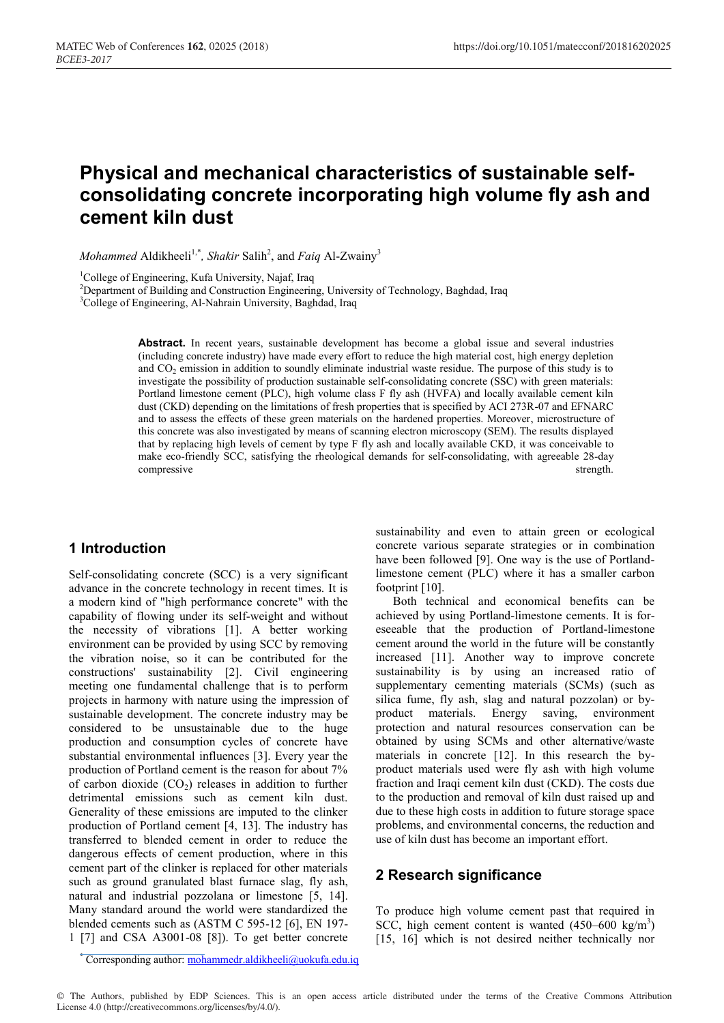# **Physical and mechanical characteristics of sustainable selfconsolidating concrete incorporating high volume fly ash and cement kiln dust**

*Mohammed* Aldikheeli<sup>1,\*</sup>, *Shakir* Salih<sup>2</sup>, and *Faiq* Al-Zwainy<sup>3</sup>

<sup>1</sup>College of Engineering, Kufa University, Najaf, Iraq

<sup>2</sup>Department of Building and Construction Engineering, University of Technology, Baghdad, Iraq <sup>3</sup>College of Engineering, Al-Nahrain University, Baghdad, Iraq

> Abstract. In recent years, sustainable development has become a global issue and several industries (including concrete industry) have made every effort to reduce the high material cost, high energy depletion and CO<sub>2</sub> emission in addition to soundly eliminate industrial waste residue. The purpose of this study is to investigate the possibility of production sustainable self-consolidating concrete (SSC) with green materials: Portland limestone cement (PLC), high volume class F fly ash (HVFA) and locally available cement kiln dust (CKD) depending on the limitations of fresh properties that is specified by ACI 273R-07 and EFNARC and to assess the effects of these green materials on the hardened properties. Moreover, microstructure of this concrete was also investigated by means of scanning electron microscopy (SEM). The results displayed that by replacing high levels of cement by type F fly ash and locally available CKD, it was conceivable to make eco-friendly SCC, satisfying the rheological demands for self-consolidating, with agreeable 28-day compressive strength.

## **1 Introduction**

Self-consolidating concrete (SCC) is a very significant advance in the concrete technology in recent times. It is a modern kind of "high performance concrete" with the capability of flowing under its self-weight and without the necessity of vibrations [1]. A better working environment can be provided by using SCC by removing the vibration noise, so it can be contributed for the constructions' sustainability [2]. Civil engineering meeting one fundamental challenge that is to perform projects in harmony with nature using the impression of sustainable development. The concrete industry may be considered to be unsustainable due to the huge production and consumption cycles of concrete have substantial environmental influences [3]. Every year the production of Portland cement is the reason for about 7% of carbon dioxide  $(CO<sub>2</sub>)$  releases in addition to further detrimental emissions such as cement kiln dust. Generality of these emissions are imputed to the clinker production of Portland cement [4, 13]. The industry has transferred to blended cement in order to reduce the dangerous effects of cement production, where in this cement part of the clinker is replaced for other materials such as ground granulated blast furnace slag, fly ash, natural and industrial pozzolana or limestone [5, 14]. Many standard around the world were standardized the blended cements such as (ASTM C 595-12 [6], EN 197- 1 [7] and CSA A3001-08 [8]). To get better concrete

sustainability and even to attain green or ecological concrete various separate strategies or in combination have been followed [9]. One way is the use of Portlandlimestone cement (PLC) where it has a smaller carbon footprint [10].

Both technical and economical benefits can be achieved by using Portland-limestone cements. It is foreseeable that the production of Portland-limestone cement around the world in the future will be constantly increased [11]. Another way to improve concrete sustainability is by using an increased ratio of supplementary cementing materials (SCMs) (such as silica fume, fly ash, slag and natural pozzolan) or byproduct materials. Energy saving, environment protection and natural resources conservation can be obtained by using SCMs and other alternative/waste materials in concrete [12]. In this research the byproduct materials used were fly ash with high volume fraction and Iraqi cement kiln dust (CKD). The costs due to the production and removal of kiln dust raised up and due to these high costs in addition to future storage space problems, and environmental concerns, the reduction and use of kiln dust has become an important effort.

## **2 Research significance**

To produce high volume cement past that required in SCC, high cement content is wanted  $(450-600 \text{ kg/m}^3)$ [15, 16] which is not desired neither technically nor

\* Corresponding author: mohammedr.aldikheeli@uokufa.edu.iq

© The Authors, published by EDP Sciences. This is an open access article distributed under the terms of the Creative Commons Attribution License 4.0 (http://creativecommons.org/licenses/by/4.0/).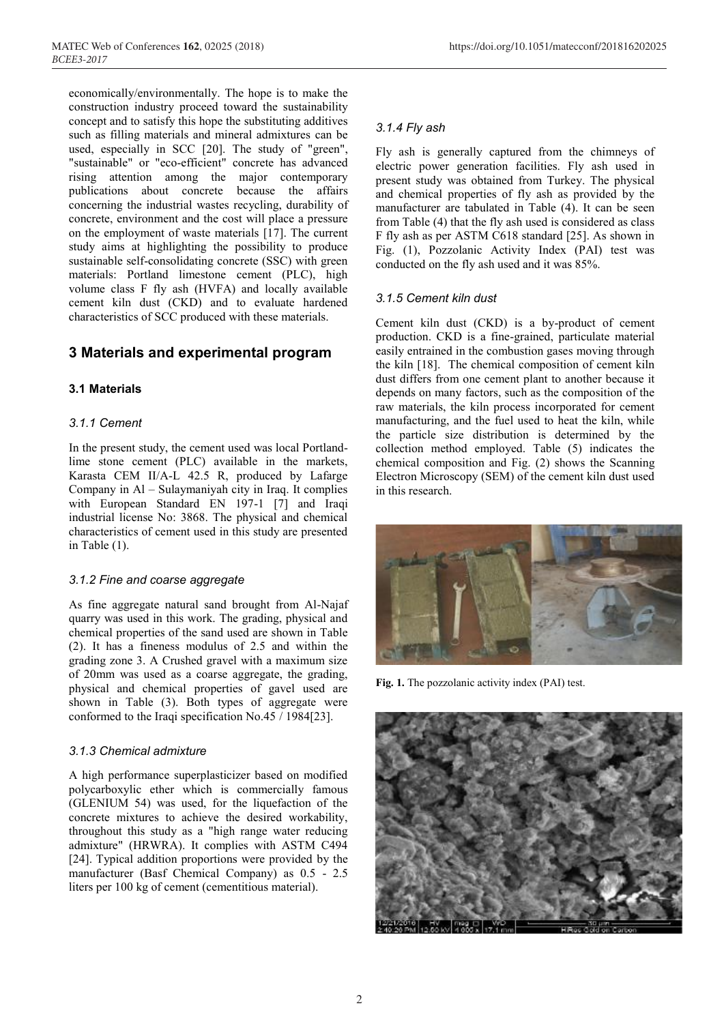MATEC Web of Conferences **162**, 02025 (2018) https://doi.org/10.1051/matecconf/201816202025

economically/environmentally. The hope is to make the construction industry proceed toward the sustainability concept and to satisfy this hope the substituting additives such as filling materials and mineral admixtures can be used, especially in SCC [20]. The study of "green", "sustainable" or "eco-efficient" concrete has advanced rising attention among the major contemporary publications about concrete because the affairs concerning the industrial wastes recycling, durability of concrete, environment and the cost will place a pressure on the employment of waste materials [17]. The current study aims at highlighting the possibility to produce sustainable self-consolidating concrete (SSC) with green materials: Portland limestone cement (PLC), high volume class F fly ash (HVFA) and locally available cement kiln dust (CKD) and to evaluate hardened characteristics of SCC produced with these materials.

## **3 Materials and experimental program**

## **3.1 Materials**

## *3.1.1 Cement*

In the present study, the cement used was local Portlandlime stone cement (PLC) available in the markets, Karasta CEM II/A-L 42.5 R, produced by Lafarge Company in Al – Sulaymaniyah city in Iraq. It complies with European Standard EN 197-1 [7] and Iraqi industrial license No: 3868. The physical and chemical characteristics of cement used in this study are presented in Table (1).

## *3.1.2 Fine and coarse aggregate*

As fine aggregate natural sand brought from Al-Najaf quarry was used in this work. The grading, physical and chemical properties of the sand used are shown in Table (2). It has a fineness modulus of 2.5 and within the grading zone 3. A Crushed gravel with a maximum size of 20mm was used as a coarse aggregate, the grading, physical and chemical properties of gavel used are shown in Table (3). Both types of aggregate were conformed to the Iraqi specification No.45 / 1984[23].

## *3.1.3 Chemical admixture*

A high performance superplasticizer based on modified polycarboxylic ether which is commercially famous (GLENIUM 54) was used, for the liquefaction of the concrete mixtures to achieve the desired workability, throughout this study as a "high range water reducing admixture" (HRWRA). It complies with ASTM C494 [24]. Typical addition proportions were provided by the manufacturer (Basf Chemical Company) as 0.5 - 2.5 liters per 100 kg of cement (cementitious material).

## *3.1.4 Fly ash*

Fly ash is generally captured from the chimneys of electric power generation facilities. Fly ash used in present study was obtained from Turkey. The physical and chemical properties of fly ash as provided by the manufacturer are tabulated in Table (4). It can be seen from Table (4) that the fly ash used is considered as class F fly ash as per ASTM C618 standard [25]. As shown in Fig. (1), Pozzolanic Activity Index (PAI) test was conducted on the fly ash used and it was 85%.

## *3.1.5 Cement kiln dust*

Cement kiln dust (CKD) is a by-product of cement production. CKD is a fine-grained, particulate material easily entrained in the combustion gases moving through the kiln [18]. The chemical composition of cement kiln dust differs from one cement plant to another because it depends on many factors, such as the composition of the raw materials, the kiln process incorporated for cement manufacturing, and the fuel used to heat the kiln, while the particle size distribution is determined by the collection method employed. Table (5) indicates the chemical composition and Fig. (2) shows the Scanning Electron Microscopy (SEM) of the cement kiln dust used in this research.



**Fig. 1.** The pozzolanic activity index (PAI) test.

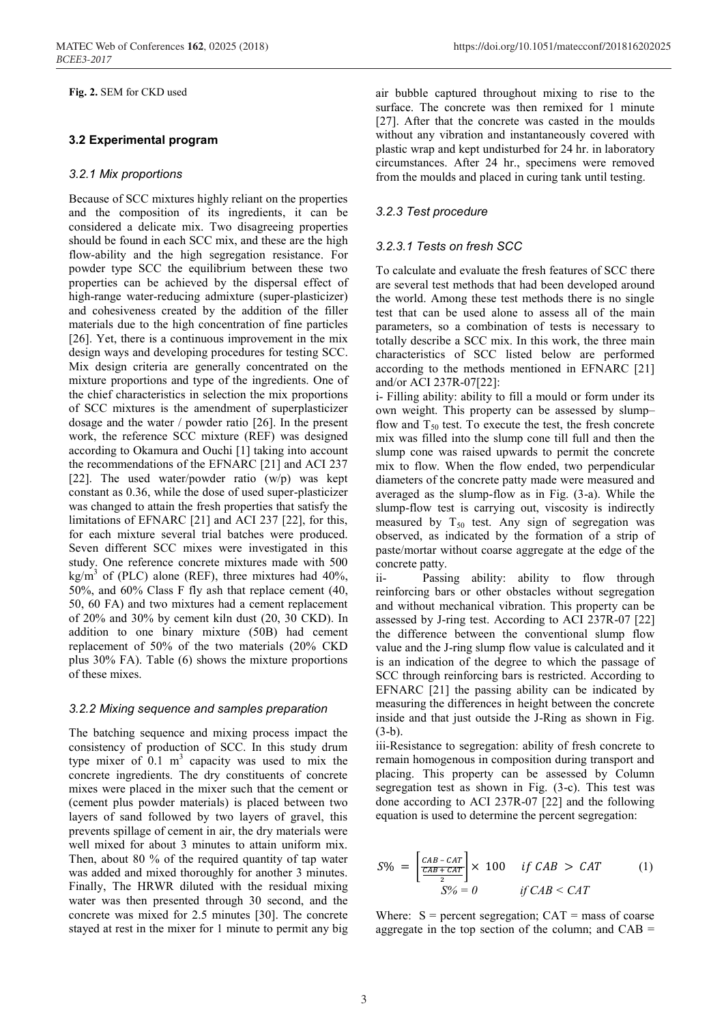**Fig. 2.** SEM for CKD used

## **3.2 Experimental program**

## *3.2.1 Mix proportions*

Because of SCC mixtures highly reliant on the properties and the composition of its ingredients, it can be considered a delicate mix. Two disagreeing properties should be found in each SCC mix, and these are the high flow-ability and the high segregation resistance. For powder type SCC the equilibrium between these two properties can be achieved by the dispersal effect of high-range water-reducing admixture (super-plasticizer) and cohesiveness created by the addition of the filler materials due to the high concentration of fine particles [26]. Yet, there is a continuous improvement in the mix design ways and developing procedures for testing SCC. Mix design criteria are generally concentrated on the mixture proportions and type of the ingredients. One of the chief characteristics in selection the mix proportions of SCC mixtures is the amendment of superplasticizer dosage and the water / powder ratio [26]. In the present work, the reference SCC mixture (REF) was designed according to Okamura and Ouchi [1] taking into account the recommendations of the EFNARC [21] and ACI 237 [22]. The used water/powder ratio (w/p) was kept constant as 0.36, while the dose of used super-plasticizer was changed to attain the fresh properties that satisfy the limitations of EFNARC [21] and ACI 237 [22], for this, for each mixture several trial batches were produced. Seven different SCC mixes were investigated in this study. One reference concrete mixtures made with 500 kg/m<sup>3</sup> of (PLC) alone (REF), three mixtures had 40%, 50%, and 60% Class F fly ash that replace cement (40, 50, 60 FA) and two mixtures had a cement replacement of 20% and 30% by cement kiln dust (20, 30 CKD). In addition to one binary mixture (50B) had cement replacement of 50% of the two materials (20% CKD plus 30% FA). Table (6) shows the mixture proportions of these mixes.

## *3.2.2 Mixing sequence and samples preparation*

The batching sequence and mixing process impact the consistency of production of SCC. In this study drum type mixer of  $0.1 \text{ m}^3$  capacity was used to mix the concrete ingredients. The dry constituents of concrete mixes were placed in the mixer such that the cement or (cement plus powder materials) is placed between two layers of sand followed by two layers of gravel, this prevents spillage of cement in air, the dry materials were well mixed for about 3 minutes to attain uniform mix. Then, about 80 % of the required quantity of tap water was added and mixed thoroughly for another 3 minutes. Finally, The HRWR diluted with the residual mixing water was then presented through 30 second, and the concrete was mixed for 2.5 minutes [30]. The concrete stayed at rest in the mixer for 1 minute to permit any big

air bubble captured throughout mixing to rise to the surface. The concrete was then remixed for 1 minute [27]. After that the concrete was casted in the moulds without any vibration and instantaneously covered with plastic wrap and kept undisturbed for 24 hr. in laboratory circumstances. After 24 hr., specimens were removed from the moulds and placed in curing tank until testing.

## *3.2.3 Test procedure*

## *3.2.3.1 Tests on fresh SCC*

To calculate and evaluate the fresh features of SCC there are several test methods that had been developed around the world. Among these test methods there is no single test that can be used alone to assess all of the main parameters, so a combination of tests is necessary to totally describe a SCC mix. In this work, the three main characteristics of SCC listed below are performed according to the methods mentioned in EFNARC [21] and/or ACI 237R-07[22]:

i- Filling ability: ability to fill a mould or form under its own weight. This property can be assessed by slump– flow and  $T_{50}$  test. To execute the test, the fresh concrete mix was filled into the slump cone till full and then the slump cone was raised upwards to permit the concrete mix to flow. When the flow ended, two perpendicular diameters of the concrete patty made were measured and averaged as the slump-flow as in Fig. (3-a). While the slump-flow test is carrying out, viscosity is indirectly measured by  $T_{50}$  test. Any sign of segregation was observed, as indicated by the formation of a strip of paste/mortar without coarse aggregate at the edge of the concrete patty.

ii- Passing ability: ability to flow through reinforcing bars or other obstacles without segregation and without mechanical vibration. This property can be assessed by J-ring test. According to ACI 237R-07 [22] the difference between the conventional slump flow value and the J-ring slump flow value is calculated and it is an indication of the degree to which the passage of SCC through reinforcing bars is restricted. According to EFNARC [21] the passing ability can be indicated by measuring the differences in height between the concrete inside and that just outside the J-Ring as shown in Fig. (3-b).

iii-Resistance to segregation: ability of fresh concrete to remain homogenous in composition during transport and placing. This property can be assessed by Column segregation test as shown in Fig. (3-c). This test was done according to ACI 237R-07 [22] and the following equation is used to determine the percent segregation:

$$
S\% = \left[\frac{c_{AB} - c_{AT}}{\frac{c_{AB} + c_{AT}}{2}}\right] \times 100 \quad \text{if } CAB > CAT \quad (1)
$$

$$
S\% = 0 \quad \text{if } CAB < CAT
$$

Where:  $S =$  percent segregation;  $CAT =$  mass of coarse aggregate in the top section of the column; and  $CAB =$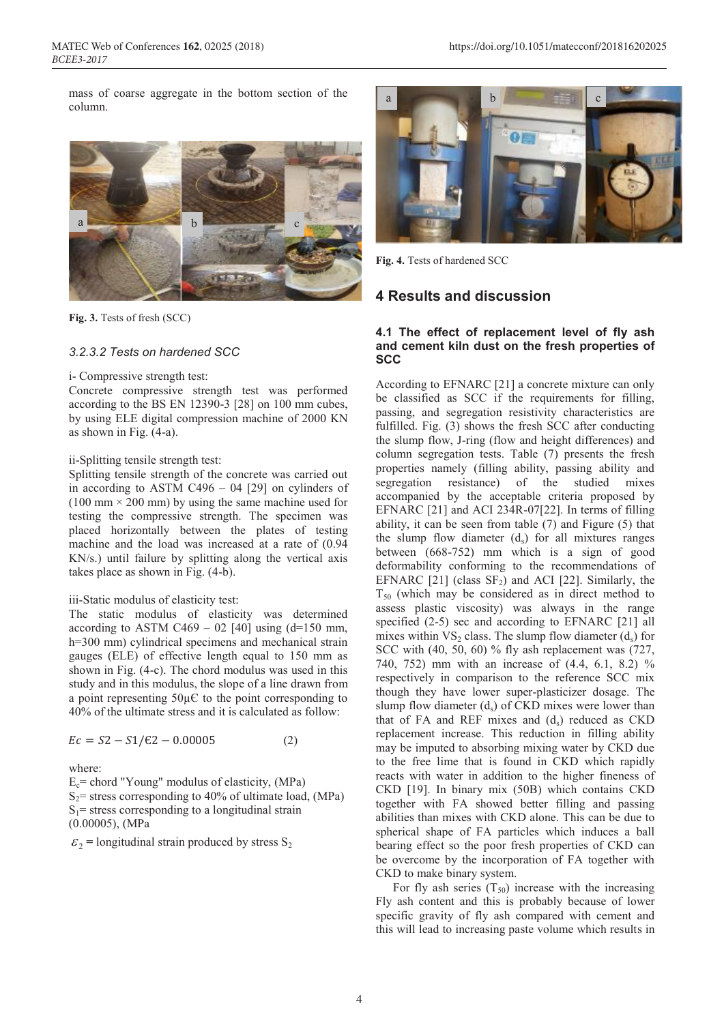mass of coarse aggregate in the bottom section of the column.



**Fig. 3.** Tests of fresh (SCC)

## *3.2.3.2 Tests on hardened SCC*

#### i- Compressive strength test:

Concrete compressive strength test was performed according to the BS EN 12390-3 [28] on 100 mm cubes, by using ELE digital compression machine of 2000 KN as shown in Fig. (4-a).

ii-Splitting tensile strength test:

Splitting tensile strength of the concrete was carried out in according to ASTM C496 – 04 [29] on cylinders of  $(100 \text{ mm} \times 200 \text{ mm})$  by using the same machine used for testing the compressive strength. The specimen was placed horizontally between the plates of testing machine and the load was increased at a rate of (0.94 KN/s.) until failure by splitting along the vertical axis takes place as shown in Fig. (4-b).

#### iii-Static modulus of elasticity test:

The static modulus of elasticity was determined according to ASTM C469 – 02 [40] using  $(d=150$  mm, h=300 mm) cylindrical specimens and mechanical strain gauges (ELE) of effective length equal to 150 mm as shown in Fig. (4-c). The chord modulus was used in this study and in this modulus, the slope of a line drawn from a point representing  $50\mu$ C to the point corresponding to 40% of the ultimate stress and it is calculated as follow:

$$
Ec = S2 - S1/E2 - 0.00005
$$
 (2)

where:

 $E_c$ = chord "Young" modulus of elasticity, (MPa)  $S_2$ = stress corresponding to 40% of ultimate load, (MPa)  $S_1$ = stress corresponding to a longitudinal strain (0.00005), (MPa

 $\varepsilon_2$  = longitudinal strain produced by stress S<sub>2</sub>



**Fig. 4.** Tests of hardened SCC

## **4 Results and discussion**

#### **4.1 The effect of replacement level of fly ash and cement kiln dust on the fresh properties of SCC**

According to EFNARC [21] a concrete mixture can only be classified as SCC if the requirements for filling, passing, and segregation resistivity characteristics are fulfilled. Fig. (3) shows the fresh SCC after conducting the slump flow, J-ring (flow and height differences) and column segregation tests. Table (7) presents the fresh properties namely (filling ability, passing ability and segregation resistance) of the studied mixes accompanied by the acceptable criteria proposed by EFNARC [21] and ACI 234R-07[22]. In terms of filling ability, it can be seen from table (7) and Figure (5) that the slump flow diameter  $(d_s)$  for all mixtures ranges between (668-752) mm which is a sign of good deformability conforming to the recommendations of EFNARC  $[21]$  (class  $SF<sub>2</sub>$ ) and ACI  $[22]$ . Similarly, the  $T_{50}$  (which may be considered as in direct method to assess plastic viscosity) was always in the range specified (2-5) sec and according to EFNARC [21] all mixes within  $VS_2$  class. The slump flow diameter  $(d_s)$  for SCC with (40, 50, 60) % fly ash replacement was (727, 740, 752) mm with an increase of (4.4, 6.1, 8.2) % respectively in comparison to the reference SCC mix though they have lower super-plasticizer dosage. The slump flow diameter  $(d<sub>s</sub>)$  of CKD mixes were lower than that of FA and REF mixes and  $(d_s)$  reduced as CKD replacement increase. This reduction in filling ability may be imputed to absorbing mixing water by CKD due to the free lime that is found in CKD which rapidly reacts with water in addition to the higher fineness of CKD [19]. In binary mix (50B) which contains CKD together with FA showed better filling and passing abilities than mixes with CKD alone. This can be due to spherical shape of FA particles which induces a ball bearing effect so the poor fresh properties of CKD can be overcome by the incorporation of FA together with CKD to make binary system.

For fly ash series  $(T_{50})$  increase with the increasing Fly ash content and this is probably because of lower specific gravity of fly ash compared with cement and this will lead to increasing paste volume which results in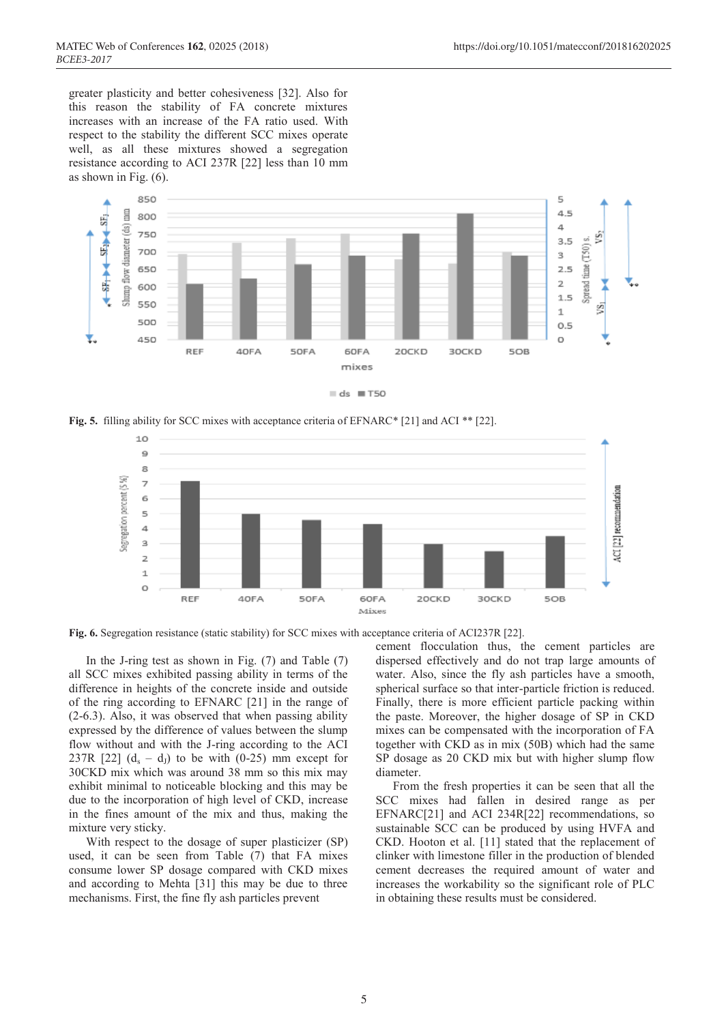greater plasticity and better cohesiveness [32]. Also for this reason the stability of FA concrete mixtures increases with an increase of the FA ratio used. With respect to the stability the different SCC mixes operate well, as all these mixtures showed a segregation resistance according to ACI 237R [22] less than 10 mm as shown in Fig. (6).



 $ds \equiv T50$ 

**Fig. 5.** filling ability for SCC mixes with acceptance criteria of EFNARC\* [21] and ACI \*\* [22].



**Fig. 6.** Segregation resistance (static stability) for SCC mixes with acceptance criteria of ACI237R [22].

In the J-ring test as shown in Fig. (7) and Table (7) all SCC mixes exhibited passing ability in terms of the difference in heights of the concrete inside and outside of the ring according to EFNARC [21] in the range of (2-6.3). Also, it was observed that when passing ability expressed by the difference of values between the slump flow without and with the J-ring according to the ACI 237R [22]  $(d_s - d_J)$  to be with (0-25) mm except for 30CKD mix which was around 38 mm so this mix may exhibit minimal to noticeable blocking and this may be due to the incorporation of high level of CKD, increase in the fines amount of the mix and thus, making the mixture very sticky.

With respect to the dosage of super plasticizer (SP) used, it can be seen from Table (7) that FA mixes consume lower SP dosage compared with CKD mixes and according to Mehta [31] this may be due to three mechanisms. First, the fine fly ash particles prevent

cement flocculation thus, the cement particles are dispersed effectively and do not trap large amounts of water. Also, since the fly ash particles have a smooth, spherical surface so that inter-particle friction is reduced. Finally, there is more efficient particle packing within the paste. Moreover, the higher dosage of SP in CKD mixes can be compensated with the incorporation of FA together with CKD as in mix (50B) which had the same SP dosage as 20 CKD mix but with higher slump flow diameter.

From the fresh properties it can be seen that all the SCC mixes had fallen in desired range as per EFNARC[21] and ACI 234R[22] recommendations, so sustainable SCC can be produced by using HVFA and CKD. Hooton et al. [11] stated that the replacement of clinker with limestone filler in the production of blended cement decreases the required amount of water and increases the workability so the significant role of PLC in obtaining these results must be considered.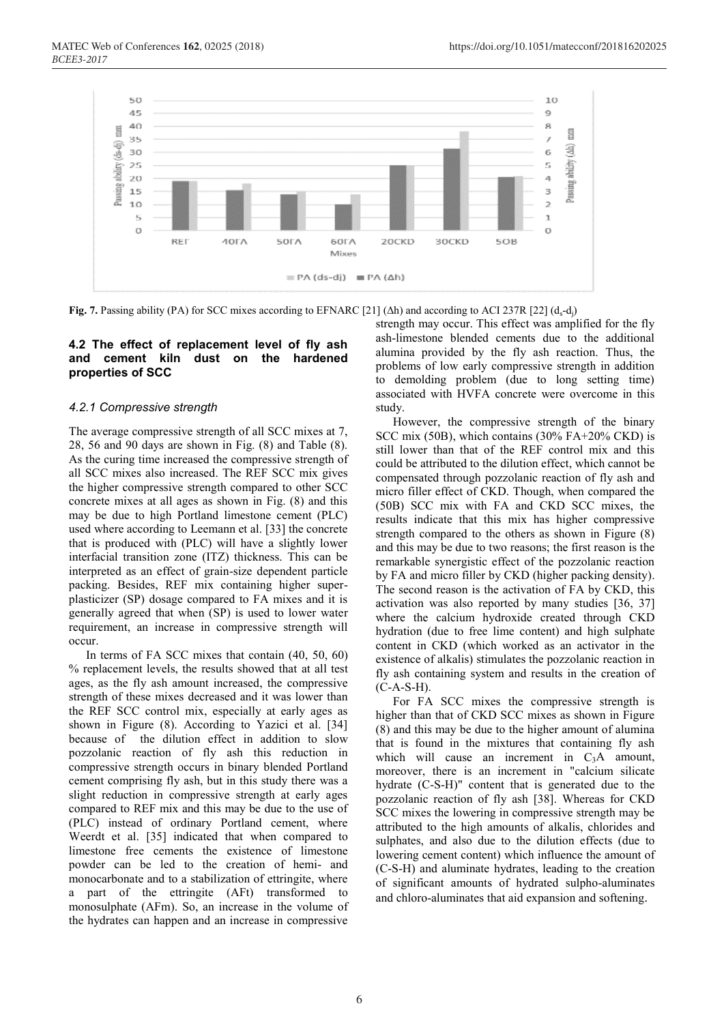

**Fig.** 7. Passing ability (PA) for SCC mixes according to EFNARC [21]  $(\Delta h)$  and according to ACI 237R [22]  $(d_s-d_j)$ 

## **4.2 The effect of replacement level of fly ash and cement kiln dust on the hardened properties of SCC**

## *4.2.1 Compressive strength*

The average compressive strength of all SCC mixes at 7, 28, 56 and 90 days are shown in Fig. (8) and Table (8). As the curing time increased the compressive strength of all SCC mixes also increased. The REF SCC mix gives the higher compressive strength compared to other SCC concrete mixes at all ages as shown in Fig. (8) and this may be due to high Portland limestone cement (PLC) used where according to Leemann et al. [33] the concrete that is produced with (PLC) will have a slightly lower interfacial transition zone (ITZ) thickness. This can be interpreted as an effect of grain-size dependent particle packing. Besides, REF mix containing higher superplasticizer (SP) dosage compared to FA mixes and it is generally agreed that when (SP) is used to lower water requirement, an increase in compressive strength will occur.

In terms of FA SCC mixes that contain (40, 50, 60) % replacement levels, the results showed that at all test ages, as the fly ash amount increased, the compressive strength of these mixes decreased and it was lower than the REF SCC control mix, especially at early ages as shown in Figure (8). According to Yazici et al. [34] because of the dilution effect in addition to slow pozzolanic reaction of fly ash this reduction in compressive strength occurs in binary blended Portland cement comprising fly ash, but in this study there was a slight reduction in compressive strength at early ages compared to REF mix and this may be due to the use of (PLC) instead of ordinary Portland cement, where Weerdt et al. [35] indicated that when compared to limestone free cements the existence of limestone powder can be led to the creation of hemi- and monocarbonate and to a stabilization of ettringite, where a part of the ettringite (AFt) transformed to monosulphate (AFm). So, an increase in the volume of the hydrates can happen and an increase in compressive strength may occur. This effect was amplified for the fly ash-limestone blended cements due to the additional alumina provided by the fly ash reaction. Thus, the problems of low early compressive strength in addition to demolding problem (due to long setting time) associated with HVFA concrete were overcome in this study.

However, the compressive strength of the binary SCC mix (50B), which contains (30% FA+20% CKD) is still lower than that of the REF control mix and this could be attributed to the dilution effect, which cannot be compensated through pozzolanic reaction of fly ash and micro filler effect of CKD. Though, when compared the (50B) SCC mix with FA and CKD SCC mixes, the results indicate that this mix has higher compressive strength compared to the others as shown in Figure (8) and this may be due to two reasons; the first reason is the remarkable synergistic effect of the pozzolanic reaction by FA and micro filler by CKD (higher packing density). The second reason is the activation of FA by CKD, this activation was also reported by many studies [36, 37] where the calcium hydroxide created through CKD hydration (due to free lime content) and high sulphate content in CKD (which worked as an activator in the existence of alkalis) stimulates the pozzolanic reaction in fly ash containing system and results in the creation of  $(C-A-S-H)$ .

For FA SCC mixes the compressive strength is higher than that of CKD SCC mixes as shown in Figure (8) and this may be due to the higher amount of alumina that is found in the mixtures that containing fly ash which will cause an increment in  $C_3A$  amount, moreover, there is an increment in "calcium silicate hydrate (C-S-H)" content that is generated due to the pozzolanic reaction of fly ash [38]. Whereas for CKD SCC mixes the lowering in compressive strength may be attributed to the high amounts of alkalis, chlorides and sulphates, and also due to the dilution effects (due to lowering cement content) which influence the amount of (C-S-H) and aluminate hydrates, leading to the creation of significant amounts of hydrated sulpho-aluminates and chloro-aluminates that aid expansion and softening.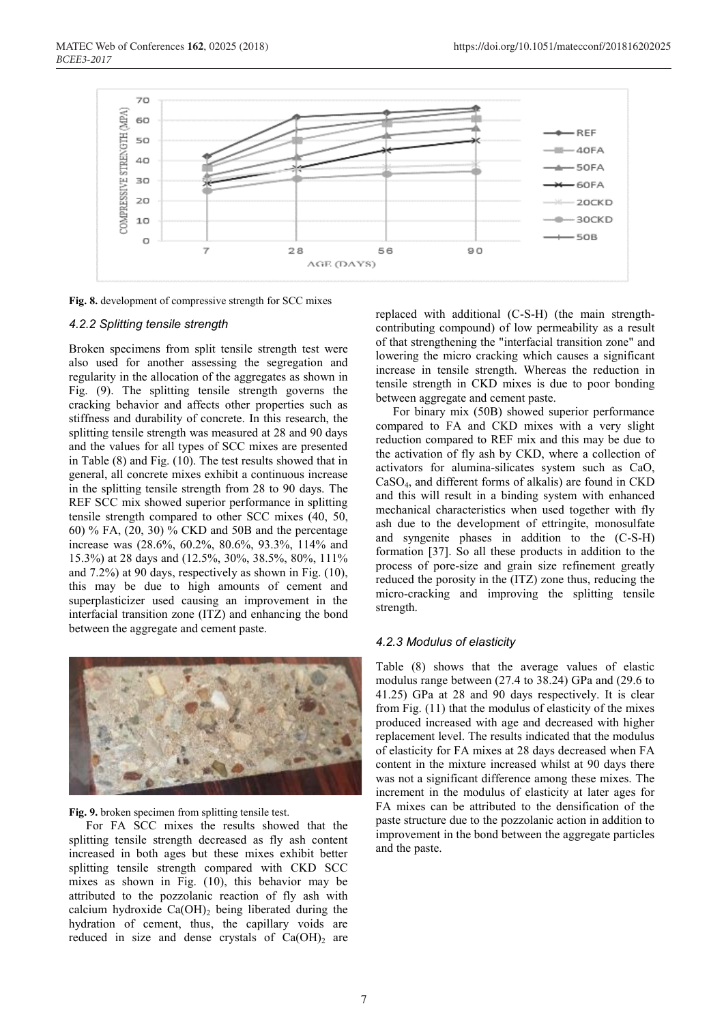

**Fig. 8.** development of compressive strength for SCC mixes

#### *4.2.2 Splitting tensile strength*

Broken specimens from split tensile strength test were also used for another assessing the segregation and regularity in the allocation of the aggregates as shown in Fig. (9). The splitting tensile strength governs the cracking behavior and affects other properties such as stiffness and durability of concrete. In this research, the splitting tensile strength was measured at 28 and 90 days and the values for all types of SCC mixes are presented in Table (8) and Fig. (10). The test results showed that in general, all concrete mixes exhibit a continuous increase in the splitting tensile strength from 28 to 90 days. The REF SCC mix showed superior performance in splitting tensile strength compared to other SCC mixes (40, 50, 60) % FA, (20, 30) % CKD and 50B and the percentage increase was (28.6%, 60.2%, 80.6%, 93.3%, 114% and 15.3%) at 28 days and (12.5%, 30%, 38.5%, 80%, 111% and 7.2%) at 90 days, respectively as shown in Fig. (10), this may be due to high amounts of cement and superplasticizer used causing an improvement in the interfacial transition zone (ITZ) and enhancing the bond between the aggregate and cement paste.



#### **Fig. 9.** broken specimen from splitting tensile test.

For FA SCC mixes the results showed that the splitting tensile strength decreased as fly ash content increased in both ages but these mixes exhibit better splitting tensile strength compared with CKD SCC mixes as shown in Fig. (10), this behavior may be attributed to the pozzolanic reaction of fly ash with calcium hydroxide  $Ca(OH)_2$  being liberated during the hydration of cement, thus, the capillary voids are reduced in size and dense crystals of  $Ca(OH)_2$  are

replaced with additional (C-S-H) (the main strengthcontributing compound) of low permeability as a result of that strengthening the "interfacial transition zone" and lowering the micro cracking which causes a significant increase in tensile strength. Whereas the reduction in tensile strength in CKD mixes is due to poor bonding between aggregate and cement paste.

For binary mix (50B) showed superior performance compared to FA and CKD mixes with a very slight reduction compared to REF mix and this may be due to the activation of fly ash by CKD, where a collection of activators for alumina-silicates system such as CaO, CaSO4, and different forms of alkalis) are found in CKD and this will result in a binding system with enhanced mechanical characteristics when used together with fly ash due to the development of ettringite, monosulfate and syngenite phases in addition to the (C-S-H) formation [37]. So all these products in addition to the process of pore-size and grain size refinement greatly reduced the porosity in the (ITZ) zone thus, reducing the micro-cracking and improving the splitting tensile strength.

#### *4.2.3 Modulus of elasticity*

Table (8) shows that the average values of elastic modulus range between (27.4 to 38.24) GPa and (29.6 to 41.25) GPa at 28 and 90 days respectively. It is clear from Fig. (11) that the modulus of elasticity of the mixes produced increased with age and decreased with higher replacement level. The results indicated that the modulus of elasticity for FA mixes at 28 days decreased when FA content in the mixture increased whilst at 90 days there was not a significant difference among these mixes. The increment in the modulus of elasticity at later ages for FA mixes can be attributed to the densification of the paste structure due to the pozzolanic action in addition to improvement in the bond between the aggregate particles and the paste.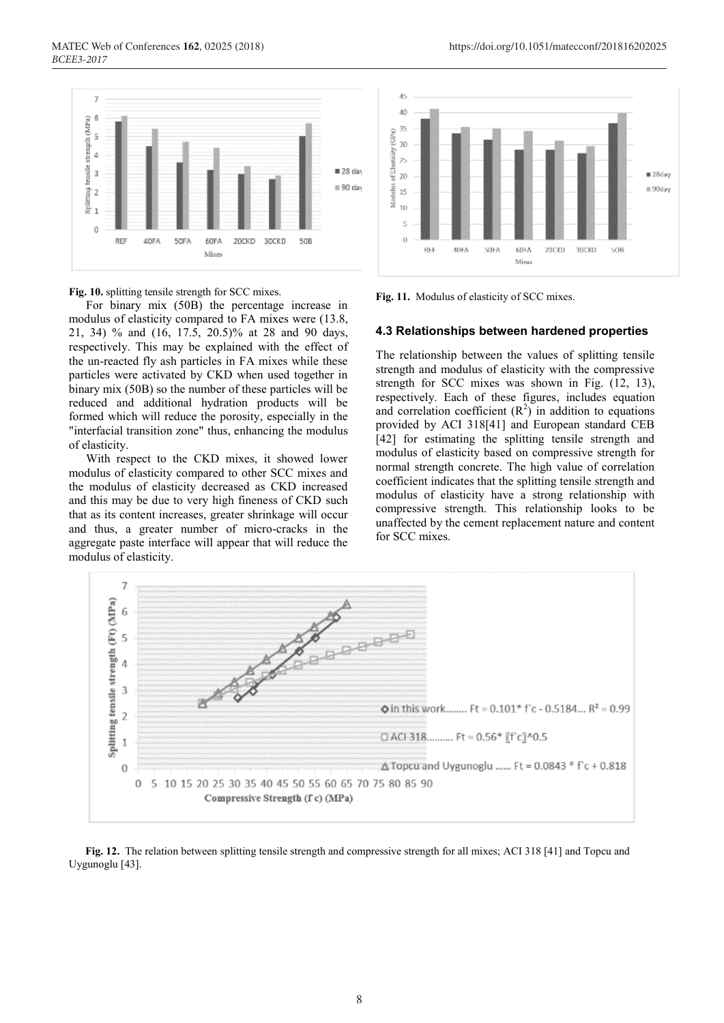

**Fig. 10.** splitting tensile strength for SCC mixes.

For binary mix (50B) the percentage increase in modulus of elasticity compared to FA mixes were (13.8, 21, 34) % and (16, 17.5, 20.5)% at 28 and 90 days, respectively. This may be explained with the effect of the un-reacted fly ash particles in FA mixes while these particles were activated by CKD when used together in binary mix (50B) so the number of these particles will be reduced and additional hydration products will be formed which will reduce the porosity, especially in the "interfacial transition zone" thus, enhancing the modulus of elasticity.

With respect to the CKD mixes, it showed lower modulus of elasticity compared to other SCC mixes and the modulus of elasticity decreased as CKD increased and this may be due to very high fineness of CKD such that as its content increases, greater shrinkage will occur and thus, a greater number of micro-cracks in the aggregate paste interface will appear that will reduce the modulus of elasticity.



**Fig. 11.** Modulus of elasticity of SCC mixes.

#### **4.3 Relationships between hardened properties**

The relationship between the values of splitting tensile strength and modulus of elasticity with the compressive strength for SCC mixes was shown in Fig. (12, 13), respectively. Each of these figures, includes equation and correlation coefficient  $(R^2)$  in addition to equations provided by ACI 318[41] and European standard CEB [42] for estimating the splitting tensile strength and modulus of elasticity based on compressive strength for normal strength concrete. The high value of correlation coefficient indicates that the splitting tensile strength and modulus of elasticity have a strong relationship with compressive strength. This relationship looks to be unaffected by the cement replacement nature and content for SCC mixes.



**Fig. 12.** The relation between splitting tensile strength and compressive strength for all mixes; ACI 318 [41] and Topcu and Uygunoglu [43].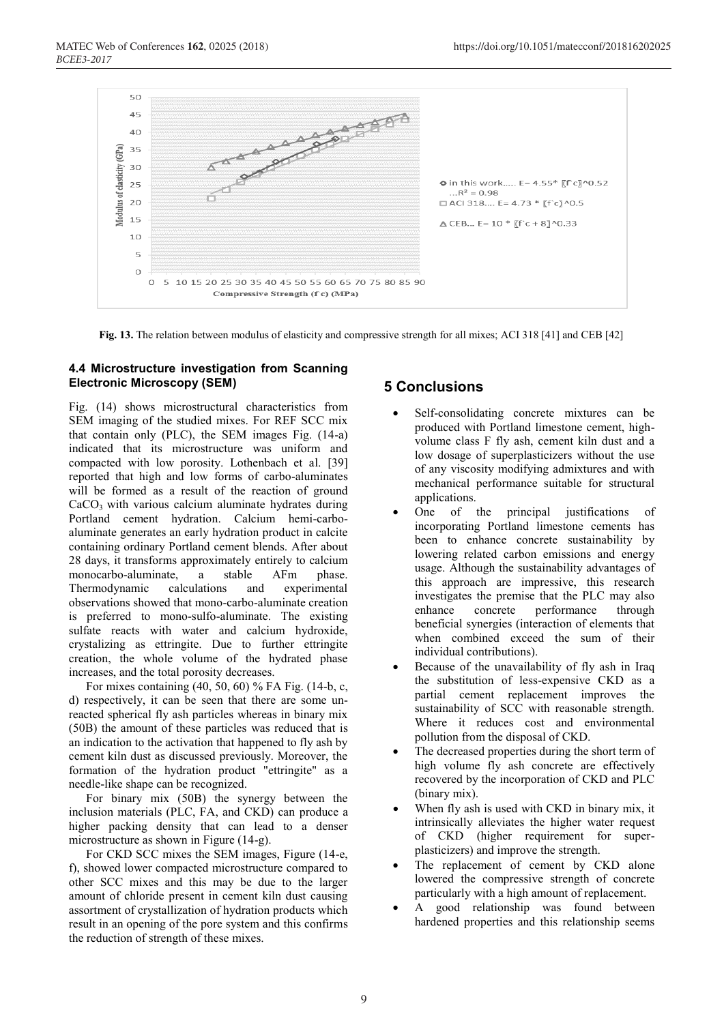

**Fig. 13.** The relation between modulus of elasticity and compressive strength for all mixes: ACI 318 [41] and CEB [42]

## **4.4 Microstructure investigation from Scanning Electronic Microscopy (SEM)**

Fig. (14) shows microstructural characteristics from SEM imaging of the studied mixes. For REF SCC mix that contain only (PLC), the SEM images Fig. (14-a) indicated that its microstructure was uniform and compacted with low porosity. Lothenbach et al. [39] reported that high and low forms of carbo-aluminates will be formed as a result of the reaction of ground  $CaCO<sub>3</sub>$  with various calcium aluminate hydrates during Portland cement hydration. Calcium hemi-carboaluminate generates an early hydration product in calcite containing ordinary Portland cement blends. After about 28 days, it transforms approximately entirely to calcium monocarbo-aluminate, a stable AFm phase. Thermodynamic calculations and experimental observations showed that mono-carbo-aluminate creation is preferred to mono-sulfo-aluminate. The existing sulfate reacts with water and calcium hydroxide, crystalizing as ettringite. Due to further ettringite creation, the whole volume of the hydrated phase increases, and the total porosity decreases.

For mixes containing (40, 50, 60) % FA Fig. (14-b, c, d) respectively, it can be seen that there are some unreacted spherical fly ash particles whereas in binary mix (50B) the amount of these particles was reduced that is an indication to the activation that happened to fly ash by cement kiln dust as discussed previously. Moreover, the formation of the hydration product "ettringite" as a needle-like shape can be recognized.

For binary mix (50B) the synergy between the inclusion materials (PLC, FA, and CKD) can produce a higher packing density that can lead to a denser microstructure as shown in Figure (14-g).

For CKD SCC mixes the SEM images, Figure (14-e, f), showed lower compacted microstructure compared to other SCC mixes and this may be due to the larger amount of chloride present in cement kiln dust causing assortment of crystallization of hydration products which result in an opening of the pore system and this confirms the reduction of strength of these mixes.

## **5 Conclusions**

- Self-consolidating concrete mixtures can be produced with Portland limestone cement, highvolume class F fly ash, cement kiln dust and a low dosage of superplasticizers without the use of any viscosity modifying admixtures and with mechanical performance suitable for structural applications.
- One of the principal justifications of incorporating Portland limestone cements has been to enhance concrete sustainability by lowering related carbon emissions and energy usage. Although the sustainability advantages of this approach are impressive, this research investigates the premise that the PLC may also enhance concrete performance through beneficial synergies (interaction of elements that when combined exceed the sum of their individual contributions).
- Because of the unavailability of fly ash in Iraq the substitution of less-expensive CKD as a partial cement replacement improves the sustainability of SCC with reasonable strength. Where it reduces cost and environmental pollution from the disposal of CKD.
- The decreased properties during the short term of high volume fly ash concrete are effectively recovered by the incorporation of CKD and PLC (binary mix).
- When fly ash is used with CKD in binary mix, it intrinsically alleviates the higher water request of CKD (higher requirement for superplasticizers) and improve the strength.
- The replacement of cement by CKD alone lowered the compressive strength of concrete particularly with a high amount of replacement.
- A good relationship was found between hardened properties and this relationship seems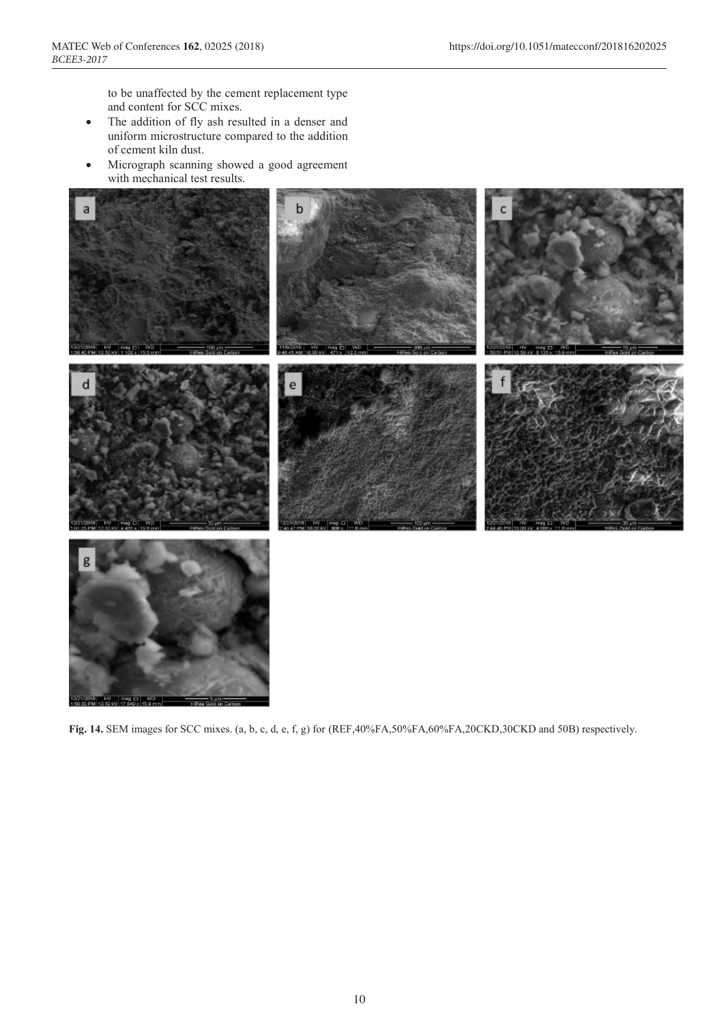to be unaffected by the cement replacement type and content for SCC mixes.

- The addition of fly ash resulted in a denser and uniform microstructure compared to the addition of cement kiln dust.
- Micrograph scanning showed a good agreement with mechanical test results.



**Fig. 14.** SEM images for SCC mixes. (a, b, c, d, e, f, g) for (REF,40%FA,50%FA,60%FA,20CKD,30CKD and 50B) respectively.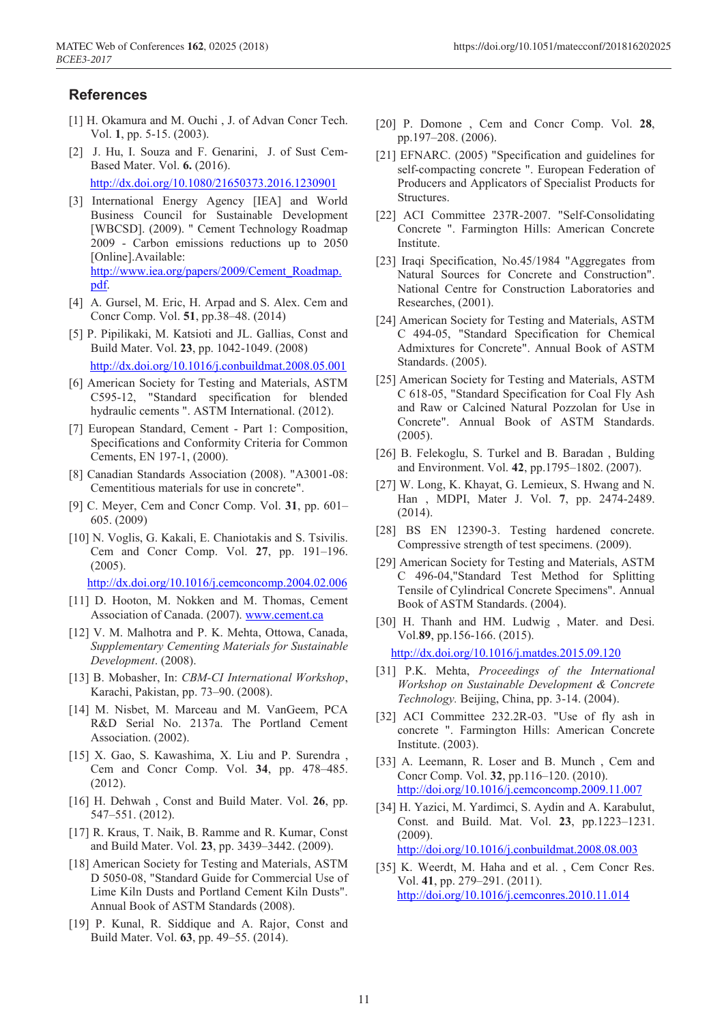## **References**

- [1] H. Okamura and M. Ouchi, J. of Advan Concr Tech. Vol. **1**, pp. 5-15. (2003).
- [2] J. Hu, I. Souza and F. Genarini, J. of Sust Cem-Based Mater. Vol. **6.** (2016).

http://dx.doi.org/10.1080/21650373.2016.1230901

- [3] International Energy Agency [IEA] and World Business Council for Sustainable Development [WBCSD]. (2009). " Cement Technology Roadmap 2009 - Carbon emissions reductions up to 2050 [Online].Available: http://www.iea.org/papers/2009/Cement\_Roadmap. pdf.
- [4] A. Gursel, M. Eric, H. Arpad and S. Alex. Cem and Concr Comp. Vol. **51**, pp.38–48. (2014)
- [5] P. Pipilikaki, M. Katsioti and JL. Gallias, Const and Build Mater. Vol. **23**, pp. 1042-1049. (2008) http://dx.doi.org/10.1016/j.conbuildmat.2008.05.001
- [6] American Society for Testing and Materials, ASTM C595-12, "Standard specification for blended hydraulic cements ". ASTM International. (2012).
- [7] European Standard, Cement Part 1: Composition, Specifications and Conformity Criteria for Common Cements, EN 197-1, (2000).
- [8] Canadian Standards Association (2008). "A3001-08: Cementitious materials for use in concrete".
- [9] C. Meyer, Cem and Concr Comp. Vol. **31**, pp. 601– 605. (2009)
- [10] N. Voglis, G. Kakali, E. Chaniotakis and S. Tsivilis. Cem and Concr Comp. Vol. **27**, pp. 191–196. (2005).

http://dx.doi.org/10.1016/j.cemconcomp.2004.02.006

- [11] D. Hooton, M. Nokken and M. Thomas, Cement Association of Canada. (2007). www.cement.ca
- [12] V. M. Malhotra and P. K. Mehta, Ottowa, Canada, *Supplementary Cementing Materials for Sustainable Development*. (2008).
- [13] B. Mobasher, In: *CBM-CI International Workshop*, Karachi, Pakistan, pp. 73–90. (2008).
- [14] M. Nisbet, M. Marceau and M. VanGeem, PCA R&D Serial No. 2137a. The Portland Cement Association. (2002).
- [15] X. Gao, S. Kawashima, X. Liu and P. Surendra , Cem and Concr Comp. Vol. **34**, pp. 478–485. (2012).
- [16] H. Dehwah , Const and Build Mater. Vol. **26**, pp. 547–551. (2012).
- [17] R. Kraus, T. Naik, B. Ramme and R. Kumar, Const and Build Mater. Vol. **23**, pp. 3439–3442. (2009).
- [18] American Society for Testing and Materials, ASTM D 5050-08, "Standard Guide for Commercial Use of Lime Kiln Dusts and Portland Cement Kiln Dusts". Annual Book of ASTM Standards (2008).
- [19] P. Kunal, R. Siddique and A. Rajor, Const and Build Mater. Vol. **63**, pp. 49–55. (2014).
- [20] P. Domone , Cem and Concr Comp. Vol. **28**, pp.197–208. (2006).
- [21] EFNARC. (2005) "Specification and guidelines for self-compacting concrete ". European Federation of Producers and Applicators of Specialist Products for Structures.
- [22] ACI Committee 237R-2007. "Self-Consolidating Concrete ". Farmington Hills: American Concrete Institute.
- [23] Iraqi Specification, No.45/1984 "Aggregates from Natural Sources for Concrete and Construction". National Centre for Construction Laboratories and Researches, (2001).
- [24] American Society for Testing and Materials, ASTM C 494-05, "Standard Specification for Chemical Admixtures for Concrete". Annual Book of ASTM Standards. (2005).
- [25] American Society for Testing and Materials, ASTM C 618-05, "Standard Specification for Coal Fly Ash and Raw or Calcined Natural Pozzolan for Use in Concrete". Annual Book of ASTM Standards. (2005).
- [26] B. Felekoglu, S. Turkel and B. Baradan, Bulding and Environment. Vol. **42**, pp.1795–1802. (2007).
- [27] W. Long, K. Khayat, G. Lemieux, S. Hwang and N. Han , MDPI, Mater J. Vol. **7**, pp. 2474-2489. (2014).
- [28] BS EN 12390-3. Testing hardened concrete. Compressive strength of test specimens. (2009).
- [29] American Society for Testing and Materials, ASTM C 496-04,"Standard Test Method for Splitting Tensile of Cylindrical Concrete Specimens". Annual Book of ASTM Standards. (2004).
- [30] H. Thanh and HM. Ludwig, Mater. and Desi. Vol.**89**, pp.156-166. (2015).

http://dx.doi.org/10.1016/j.matdes.2015.09.120

- [31] P.K. Mehta, *Proceedings of the International Workshop on Sustainable Development & Concrete Technology.* Beijing, China, pp. 3-14. (2004).
- [32] ACI Committee 232.2R-03. "Use of fly ash in concrete ". Farmington Hills: American Concrete Institute. (2003).
- [33] A. Leemann, R. Loser and B. Munch, Cem and Concr Comp. Vol. **32**, pp.116–120. (2010). http://doi.org/10.1016/j.cemconcomp.2009.11.007
- [34] H. Yazici, M. Yardimci, S. Aydin and A. Karabulut, Const. and Build. Mat. Vol. **23**, pp.1223–1231. (2009). http://doi.org/10.1016/j.conbuildmat.2008.08.003
- [35] K. Weerdt, M. Haha and et al., Cem Concr Res. Vol. **41**, pp. 279–291. (2011). http://doi.org/10.1016/j.cemconres.2010.11.014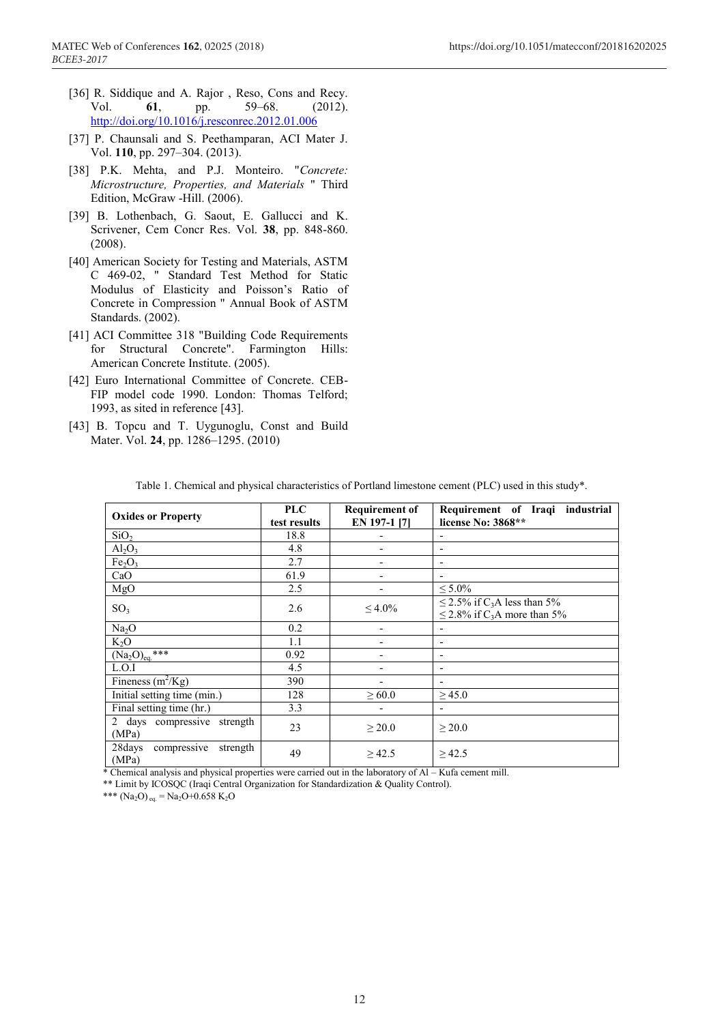- [36] R. Siddique and A. Rajor , Reso, Cons and Recy. Vol. **61**, pp. 59–68. (2012). http://doi.org/10.1016/j.resconrec.2012.01.006
- [37] P. Chaunsali and S. Peethamparan, ACI Mater J. Vol. **110**, pp. 297–304. (2013).
- [38] P.K. Mehta, and P.J. Monteiro. "*Concrete: Microstructure, Properties, and Materials* " Third Edition, McGraw -Hill. (2006).
- [39] B. Lothenbach, G. Saout, E. Gallucci and K. Scrivener, Cem Concr Res. Vol. **38**, pp. 848-860. (2008).
- [40] American Society for Testing and Materials, ASTM C 469-02, " Standard Test Method for Static Modulus of Elasticity and Poisson's Ratio of Concrete in Compression " Annual Book of ASTM Standards. (2002).
- [41] ACI Committee 318 "Building Code Requirements for Structural Concrete". Farmington Hills: American Concrete Institute. (2005).
- [42] Euro International Committee of Concrete. CEB-FIP model code 1990. London: Thomas Telford; 1993, as sited in reference [43].
- [43] B. Topcu and T. Uygunoglu, Const and Build Mater. Vol. **24**, pp. 1286–1295. (2010)

| <b>Oxides or Property</b>                  | <b>PLC</b><br>test results | <b>Requirement of</b><br>EN 197-1 [7] | Requirement of Iraqi industrial<br>license No: 3868**                                        |
|--------------------------------------------|----------------------------|---------------------------------------|----------------------------------------------------------------------------------------------|
| SiO <sub>2</sub>                           | 18.8                       |                                       |                                                                                              |
| Al <sub>2</sub> O <sub>3</sub>             | 4.8                        | -                                     | $\overline{\phantom{0}}$                                                                     |
| Fe <sub>2</sub> O <sub>3</sub>             | 2.7                        |                                       |                                                                                              |
| CaO                                        | 61.9                       |                                       |                                                                                              |
| MgO                                        | 2.5                        |                                       | $\leq 5.0\%$                                                                                 |
| SO <sub>3</sub>                            | 2.6                        | $\leq 4.0\%$                          | $\leq$ 2.5% if C <sub>3</sub> A less than 5%<br>$\leq$ 2.8% if C <sub>3</sub> A more than 5% |
| Na <sub>2</sub> O                          | 0.2                        | $\overline{\phantom{a}}$              |                                                                                              |
| $K_2O$                                     | 1.1                        | $\overline{\phantom{a}}$              | $\overline{\phantom{0}}$                                                                     |
| $(Na_2O)_{ea}$ ***                         | 0.92                       | $\overline{\phantom{a}}$              | $\overline{\phantom{0}}$                                                                     |
| L.O.I                                      | 4.5                        |                                       |                                                                                              |
| Fineness $(m^2/Kg)$                        | 390                        |                                       | $\overline{\phantom{0}}$                                                                     |
| Initial setting time (min.)                | 128                        | $\geq 60.0$                           | $\geq 45.0$                                                                                  |
| Final setting time (hr.)                   | 3.3                        |                                       |                                                                                              |
| 2 days compressive strength<br>(MPa)       | 23                         | > 20.0                                | $\geq$ 20.0                                                                                  |
| 28days<br>compressive<br>strength<br>(MPa) | 49                         | $\geq 42.5$                           | $\geq 42.5$                                                                                  |

Table 1. Chemical and physical characteristics of Portland limestone cement (PLC) used in this study\*.

\* Chemical analysis and physical properties were carried out in the laboratory of Al – Kufa cement mill.

\*\* Limit by ICOSQC (Iraqi Central Organization for Standardization & Quality Control).

\*\*\* (Na<sub>2</sub>O) eq. = Na<sub>2</sub>O+0.658 K<sub>2</sub>O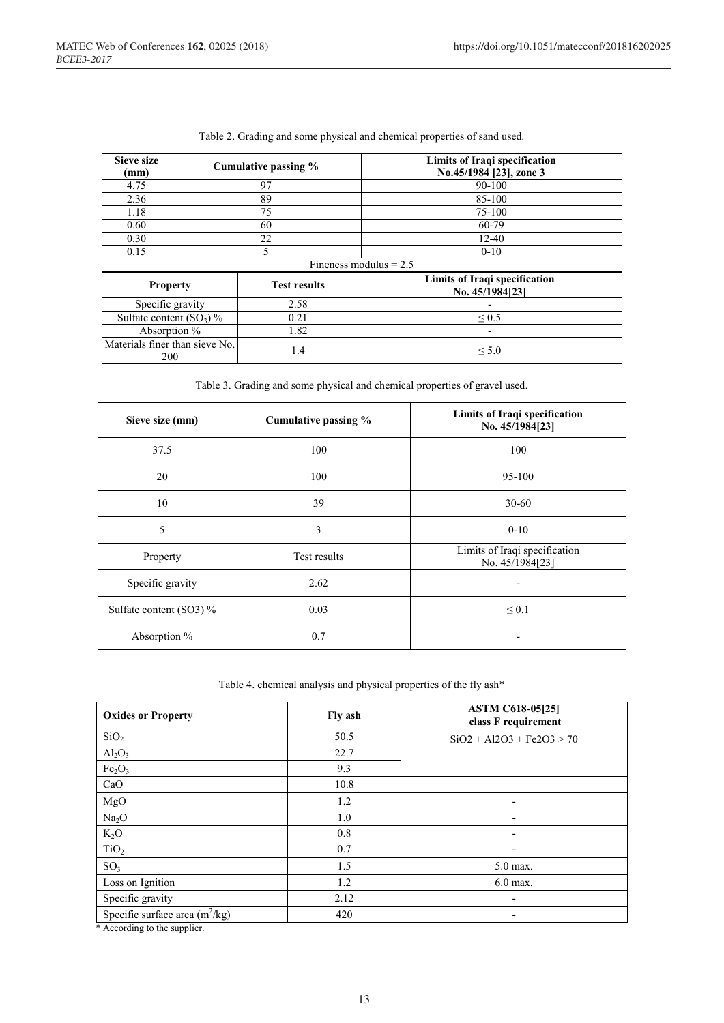| Sieve size<br>(mm)                           |    | Cumulative passing % | Limits of Iraqi specification<br>No.45/1984 [23], zone 3 |  |  |
|----------------------------------------------|----|----------------------|----------------------------------------------------------|--|--|
| 4.75                                         |    | 97                   | 90-100                                                   |  |  |
| 2.36                                         |    | 89                   | 85-100                                                   |  |  |
| 1.18                                         |    | 75                   | 75-100                                                   |  |  |
| 0.60                                         |    | 60                   | 60-79                                                    |  |  |
| 0.30                                         | 22 |                      | $12 - 40$                                                |  |  |
| 0.15                                         |    | 5                    | $0 - 10$                                                 |  |  |
|                                              |    |                      | Fineness modulus $= 2.5$                                 |  |  |
| <b>Property</b>                              |    | <b>Test results</b>  | Limits of Iraqi specification<br>No. 45/1984[23]         |  |  |
| Specific gravity                             |    | 2.58                 |                                                          |  |  |
| Sulfate content $(SO_3)$ %                   |    | 0.21                 | ${}_{0.5}$                                               |  |  |
| Absorption %                                 |    | 1.82                 | $\overline{\phantom{a}}$                                 |  |  |
| Materials finer than sieve No.<br><b>200</b> |    | 1.4                  | $\leq 5.0$                                               |  |  |

|  | Table 2. Grading and some physical and chemical properties of sand used. |  |  |
|--|--------------------------------------------------------------------------|--|--|
|  |                                                                          |  |  |
|  |                                                                          |  |  |
|  |                                                                          |  |  |

Table 3. Grading and some physical and chemical properties of gravel used.

| Sieve size (mm)         | Cumulative passing % | Limits of Iraqi specification<br>No. 45/1984[23] |
|-------------------------|----------------------|--------------------------------------------------|
| 37.5                    | 100                  | 100                                              |
| 20                      | 100                  | 95-100                                           |
| 10                      | 39                   | $30 - 60$                                        |
| 5                       | 3                    | $0 - 10$                                         |
| Property                | Test results         | Limits of Iraqi specification<br>No. 45/1984[23] |
| Specific gravity        | 2.62                 | $\blacksquare$                                   |
| Sulfate content (SO3) % | 0.03                 | $\leq 0.1$                                       |
| Absorption %            | 0.7                  | $\overline{\phantom{a}}$                         |

#### Table 4. chemical analysis and physical properties of the fly ash\*

| <b>Oxides or Property</b>                                                                                            | Fly ash | <b>ASTM C618-05[25]</b><br>class F requirement |
|----------------------------------------------------------------------------------------------------------------------|---------|------------------------------------------------|
| SiO <sub>2</sub>                                                                                                     | 50.5    | $SiO2 + Al2O3 + Fe2O3 > 70$                    |
| Al <sub>2</sub> O <sub>3</sub>                                                                                       | 22.7    |                                                |
| Fe <sub>2</sub> O <sub>3</sub>                                                                                       | 9.3     |                                                |
| CaO                                                                                                                  | 10.8    |                                                |
| MgO                                                                                                                  | 1.2     | -                                              |
| Na <sub>2</sub> O                                                                                                    | 1.0     |                                                |
| $K_2O$                                                                                                               | 0.8     | $\overline{\phantom{0}}$                       |
| TiO <sub>2</sub>                                                                                                     | 0.7     |                                                |
| SO <sub>3</sub>                                                                                                      | 1.5     | 5.0 max.                                       |
| Loss on Ignition                                                                                                     | 1.2     | $6.0$ max.                                     |
| Specific gravity                                                                                                     | 2.12    |                                                |
| Specific surface area $(m^2/kg)$<br>$\cdots$<br>$\mathbf{a}$ , and a set of $\mathbf{a}$ , and a set of $\mathbf{a}$ | 420     |                                                |

\* According to the supplier.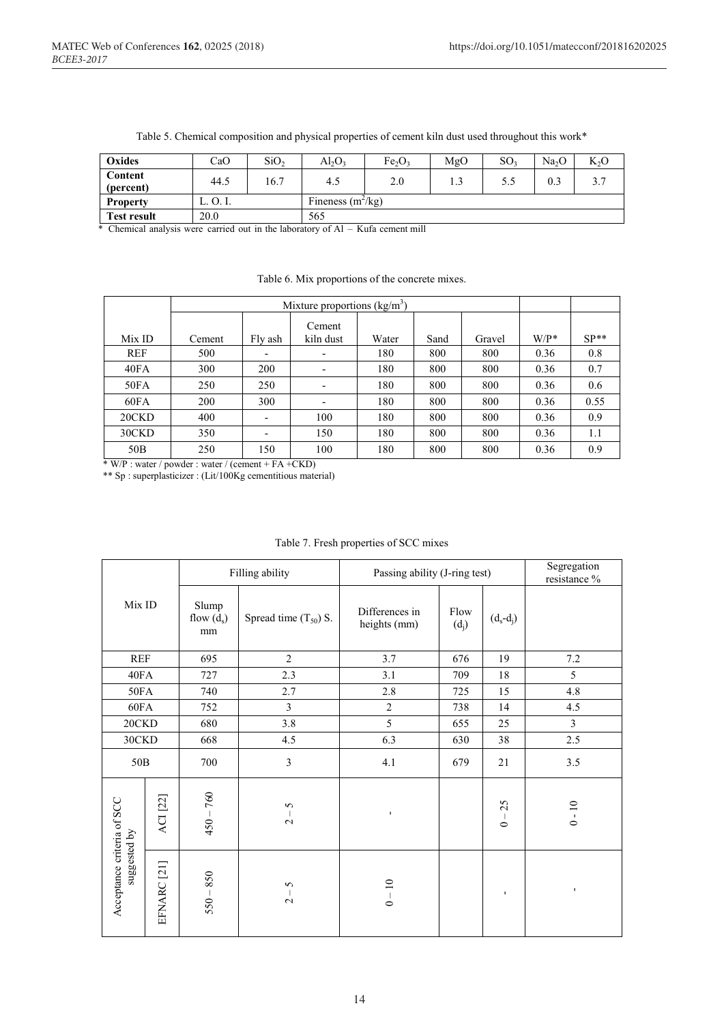| Oxides               | CaO      | SiO <sub>2</sub> | $\text{Al}_2\text{O}_3$ | Fe <sub>2</sub> O <sub>3</sub> | MgO | SO <sub>3</sub> | Na <sub>2</sub> O | $K_2O$ |
|----------------------|----------|------------------|-------------------------|--------------------------------|-----|-----------------|-------------------|--------|
| Content<br>(percent) | 44.5     | 16.7             | 4.5                     | 2.0                            | 1.3 | 5.5             |                   |        |
| <b>Property</b>      | L. O. I. |                  | Fineness $(m^2/kg)$     |                                |     |                 |                   |        |
| <b>Test result</b>   | 20.0     |                  | 565                     |                                |     |                 |                   |        |

Table 5. Chemical composition and physical properties of cement kiln dust used throughout this work\*

\* Chemical analysis were carried out in the laboratory of Al – Kufa cement mill

|                 |        | Mixture proportions $(kg/m3)$ |                          |       |      |        |         |        |
|-----------------|--------|-------------------------------|--------------------------|-------|------|--------|---------|--------|
| Mix ID          | Cement | Fly ash                       | Cement<br>kiln dust      | Water | Sand | Gravel | $W/P^*$ | $SP**$ |
| <b>REF</b>      | 500    | -                             | $\overline{\phantom{a}}$ | 180   | 800  | 800    | 0.36    | 0.8    |
| 40FA            | 300    | 200                           | $\overline{\phantom{a}}$ | 180   | 800  | 800    | 0.36    | 0.7    |
| 50FA            | 250    | 250                           | $\overline{\phantom{0}}$ | 180   | 800  | 800    | 0.36    | 0.6    |
| 60FA            | 200    | 300                           | $\overline{\phantom{a}}$ | 180   | 800  | 800    | 0.36    | 0.55   |
| 20CKD           | 400    | -                             | 100                      | 180   | 800  | 800    | 0.36    | 0.9    |
| 30CKD           | 350    | -                             | 150                      | 180   | 800  | 800    | 0.36    | 1.1    |
| 50 <sub>B</sub> | 250    | 150                           | 100                      | 180   | 800  | 800    | 0.36    | 0.9    |

#### Table 6. Mix proportions of the concrete mixes.

 $*$  W/P : water / powder : water / (cement + FA +CKD)

\*\* Sp : superplasticizer : (Lit/100Kg cementitious material)

|                                            |                        |                             | Filling ability           | Passing ability (J-ring test)  |                 | Segregation<br>resistance %               |                |
|--------------------------------------------|------------------------|-----------------------------|---------------------------|--------------------------------|-----------------|-------------------------------------------|----------------|
| Mix ID                                     |                        | Slump<br>flow $(d_s)$<br>mm | Spread time $(T_{50})$ S. | Differences in<br>heights (mm) | Flow<br>$(d_j)$ | $(d_s-d_i)$                               |                |
| <b>REF</b>                                 |                        | 695                         | $\overline{2}$            | 3.7                            | 676             | 19                                        | 7.2            |
| 40FA                                       |                        | 727                         | 2.3                       | 3.1                            | 709             | 18                                        | 5              |
| 50FA                                       |                        | 740                         | 2.7                       | 2.8                            | 725             | 15                                        | 4.8            |
| 60FA                                       |                        | 752                         | $\mathfrak{Z}$            | $\overline{2}$                 | 738             | 14                                        | 4.5            |
| 20CKD                                      |                        | 680                         | 3.8                       | 5                              | 655             | 25                                        | $\overline{3}$ |
|                                            | 30CKD<br>668           |                             | 4.5                       | 6.3                            | 630             | 38                                        | 2.5            |
| 50 <sub>B</sub>                            |                        | 700                         | $\overline{3}$            | 4.1                            | 679             | 21                                        | 3.5            |
|                                            | <b>ACI</b> [22]        | $450 - 760$                 | 5<br>$\sim$               | $\mathbf{I}$                   |                 | 25<br>$\overline{\phantom{a}}$<br>$\circ$ | $0 - 10$       |
| Acceptance criteria of SCC<br>suggested by | EFNARC <sup>[21]</sup> | 850<br>$550 -$              | 5<br>$\sim$               | $0 - 10$                       |                 | $\mathbf{I}$                              | $\mathbf{I}$   |

#### Table 7. Fresh properties of SCC mixes